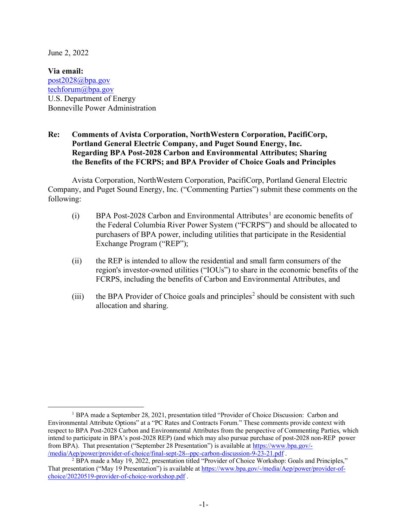June 2, 2022

**Via email:** post2028@bpa.gov techforum@bpa.gov U.S. Department of Energy Bonneville Power Administration

## **Re: Comments of Avista Corporation, NorthWestern Corporation, PacifiCorp, Portland General Electric Company, and Puget Sound Energy, Inc. Regarding BPA Post-2028 Carbon and Environmental Attributes; Sharing the Benefits of the FCRPS; and BPA Provider of Choice Goals and Principles**

Avista Corporation, NorthWestern Corporation, PacifiCorp, Portland General Electric Company, and Puget Sound Energy, Inc. ("Commenting Parties") submit these comments on the following:

- (i) BPA Post-2028 Carbon and Environmental Attributes<sup>1</sup> are economic benefits of the Federal Columbia River Power System ("FCRPS") and should be allocated to purchasers of BPA power, including utilities that participate in the Residential Exchange Program ("REP");
- (ii) the REP is intended to allow the residential and small farm consumers of the region's investor-owned utilities ("IOUs") to share in the economic benefits of the FCRPS, including the benefits of Carbon and Environmental Attributes, and
- (iii) the BPA Provider of Choice goals and principles<sup>2</sup> should be consistent with such allocation and sharing.

<sup>&</sup>lt;sup>1</sup> BPA made a September 28, 2021, presentation titled "Provider of Choice Discussion: Carbon and Environmental Attribute Options" at a "PC Rates and Contracts Forum." These comments provide context with respect to BPA Post-2028 Carbon and Environmental Attributes from the perspective of Commenting Parties, which intend to participate in BPA's post-2028 REP) (and which may also pursue purchase of post-2028 non-REP power from BPA). That presentation ("September 28 Presentation") is available at https://www.bpa.gov/- /media/Aep/power/provider-of-choice/final-sept-28--ppc-carbon-discussion-9-23-21.pdf .

<sup>2</sup> BPA made a May 19, 2022, presentation titled "Provider of Choice Workshop: Goals and Principles," That presentation ("May 19 Presentation") is available at https://www.bpa.gov/-/media/Aep/power/provider-ofchoice/20220519-provider-of-choice-workshop.pdf .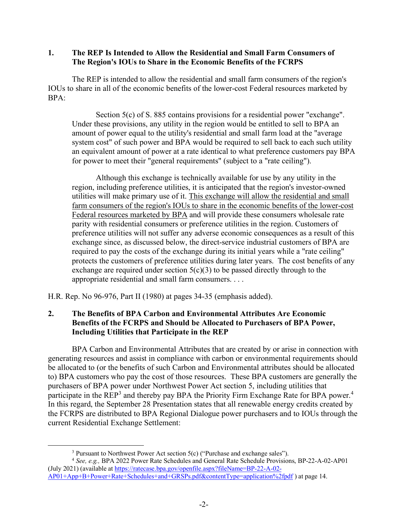## **1. The REP Is Intended to Allow the Residential and Small Farm Consumers of The Region's IOUs to Share in the Economic Benefits of the FCRPS**

The REP is intended to allow the residential and small farm consumers of the region's IOUs to share in all of the economic benefits of the lower-cost Federal resources marketed by BPA:

Section 5(c) of S. 885 contains provisions for a residential power "exchange". Under these provisions, any utility in the region would be entitled to sell to BPA an amount of power equal to the utility's residential and small farm load at the "average system cost" of such power and BPA would be required to sell back to each such utility an equivalent amount of power at a rate identical to what preference customers pay BPA for power to meet their "general requirements" (subject to a "rate ceiling").

Although this exchange is technically available for use by any utility in the region, including preference utilities, it is anticipated that the region's investor-owned utilities will make primary use of it. This exchange will allow the residential and small farm consumers of the region's IOUs to share in the economic benefits of the lower-cost Federal resources marketed by BPA and will provide these consumers wholesale rate parity with residential consumers or preference utilities in the region. Customers of preference utilities will not suffer any adverse economic consequences as a result of this exchange since, as discussed below, the direct-service industrial customers of BPA are required to pay the costs of the exchange during its initial years while a "rate ceiling" protects the customers of preference utilities during later years. The cost benefits of any exchange are required under section  $5(c)(3)$  to be passed directly through to the appropriate residential and small farm consumers. . . .

H.R. Rep. No 96-976, Part II (1980) at pages 34-35 (emphasis added).

## **2. The Benefits of BPA Carbon and Environmental Attributes Are Economic Benefits of the FCRPS and Should be Allocated to Purchasers of BPA Power, Including Utilities that Participate in the REP**

BPA Carbon and Environmental Attributes that are created by or arise in connection with generating resources and assist in compliance with carbon or environmental requirements should be allocated to (or the benefits of such Carbon and Environmental attributes should be allocated to) BPA customers who pay the cost of those resources. These BPA customers are generally the purchasers of BPA power under Northwest Power Act section 5, including utilities that participate in the REP<sup>3</sup> and thereby pay BPA the Priority Firm Exchange Rate for BPA power.<sup>4</sup> In this regard, the September 28 Presentation states that all renewable energy credits created by the FCRPS are distributed to BPA Regional Dialogue power purchasers and to IOUs through the current Residential Exchange Settlement:

<sup>&</sup>lt;sup>3</sup> Pursuant to Northwest Power Act section 5(c) ("Purchase and exchange sales").

<sup>4</sup> *See, e.g.,* BPA 2022 Power Rate Schedules and General Rate Schedule Provisions, BP-22-A-02-AP01 (July 2021) (available at https://ratecase.bpa.gov/openfile.aspx?fileName=BP-22-A-02- AP01+App+B+Power+Rate+Schedules+and+GRSPs.pdf&contentType=application%2fpdf ) at page 14.